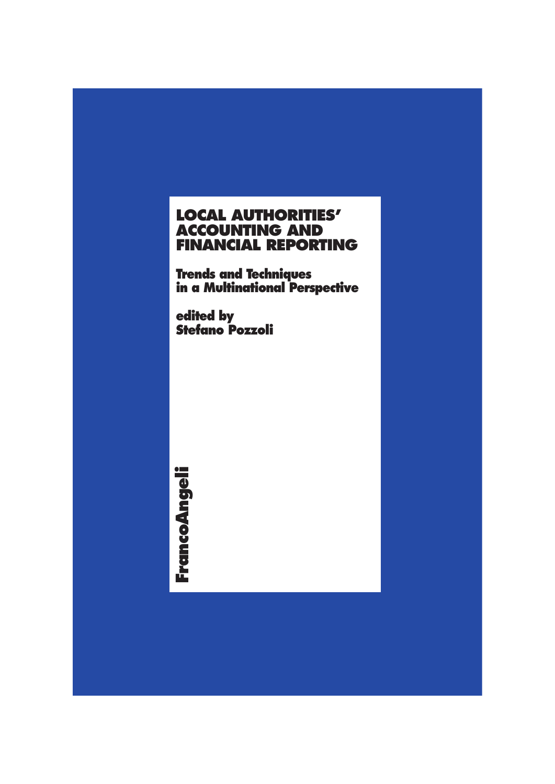# **LOCAL AUTHORITIES' ACCOUNTING AND FINANCIAL REPORTING**

**Trends and Techniques in a Multinational Perspective**

**edited by Stefano Pozzoli**

FrancoAngeli **FrancoAngeli**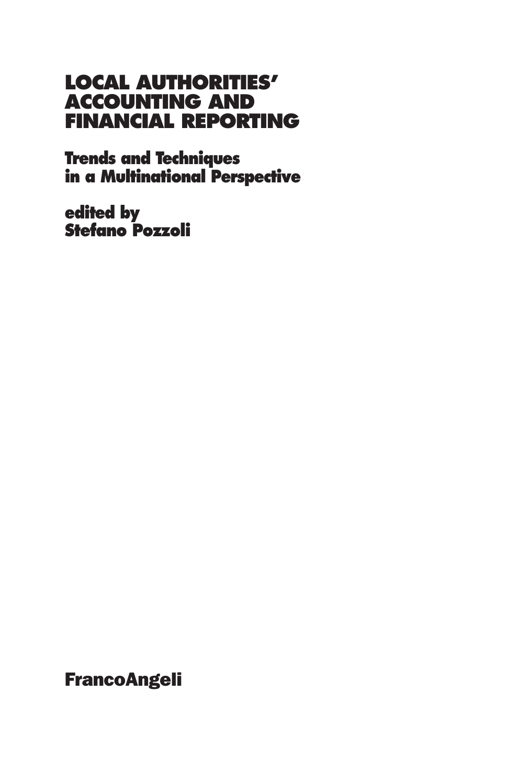# **LOCAL AUTHORITIES' ACCOUNTING AND FINANCIAL REPORTING**

**Trends and Techniques in a Multinational Perspective**

**edited by Stefano Pozzoli**

**FrancoAngeli**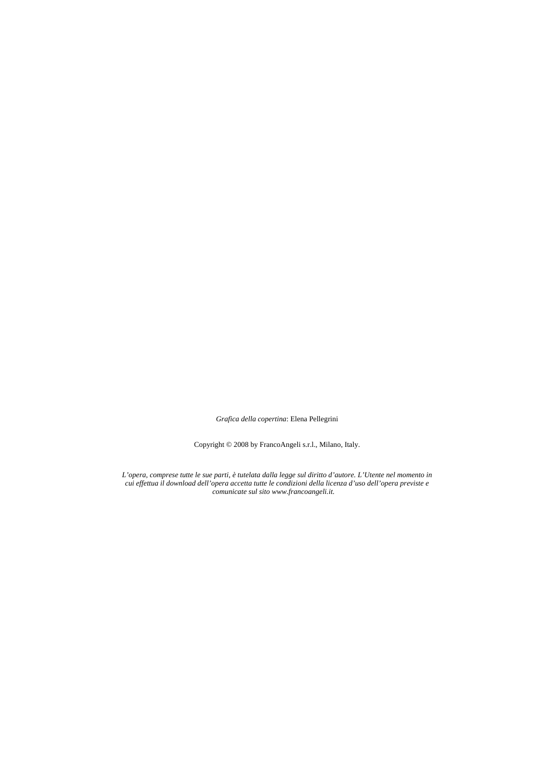*Grafica della copertina*: Elena Pellegrini

Copyright © 2008 by FrancoAngeli s.r.l., Milano, Italy.

*L'opera, comprese tutte le sue parti, è tutelata dalla legge sul diritto d'autore. L'Utente nel momento in cui effettua il download dell'opera accetta tutte le condizioni della licenza d'uso dell'opera previste e comunicate sul sito www.francoangeli.it.*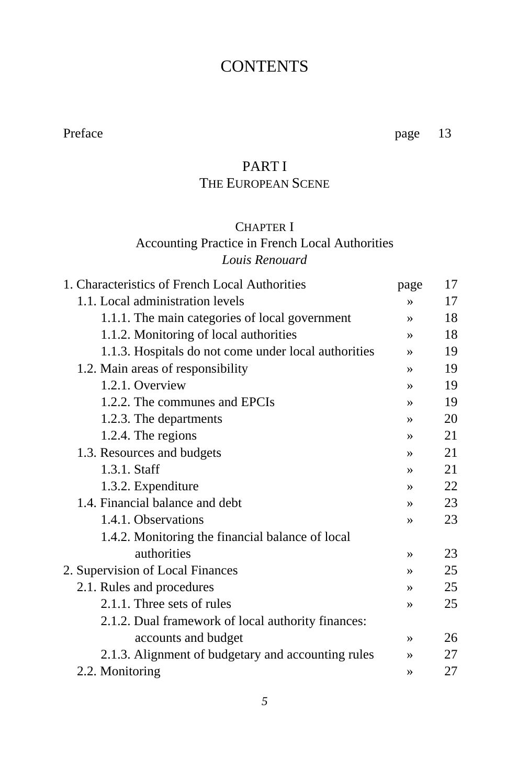## **CONTENTS**

Preface page 13

# PART I

# THE EUROPEAN SCENE

#### CHAPTER I

#### Accounting Practice in French Local Authorities *Louis Renouard*

| 1. Characteristics of French Local Authorities       | page          | 17 |
|------------------------------------------------------|---------------|----|
| 1.1. Local administration levels                     | $\rightarrow$ | 17 |
| 1.1.1. The main categories of local government       | $\rightarrow$ | 18 |
| 1.1.2. Monitoring of local authorities               | $\rightarrow$ | 18 |
| 1.1.3. Hospitals do not come under local authorities | $\rightarrow$ | 19 |
| 1.2. Main areas of responsibility                    | $\rightarrow$ | 19 |
| 1.2.1. Overview                                      | $\rightarrow$ | 19 |
| 1.2.2. The communes and EPCIs                        | $\rightarrow$ | 19 |
| 1.2.3. The departments                               | $\rightarrow$ | 20 |
| 1.2.4. The regions                                   | $\rightarrow$ | 21 |
| 1.3. Resources and budgets                           | $\rightarrow$ | 21 |
| 1.3.1. Staff                                         | $\rightarrow$ | 21 |
| 1.3.2. Expenditure                                   | $\rightarrow$ | 22 |
| 1.4. Financial balance and debt                      | $\rightarrow$ | 23 |
| 1.4.1. Observations                                  | $\rightarrow$ | 23 |
| 1.4.2. Monitoring the financial balance of local     |               |    |
| authorities                                          | $\rightarrow$ | 23 |
| 2. Supervision of Local Finances                     | $\rightarrow$ | 25 |
| 2.1. Rules and procedures                            | $\rightarrow$ | 25 |
| 2.1.1. Three sets of rules                           | $\rightarrow$ | 25 |
| 2.1.2. Dual framework of local authority finances:   |               |    |
| accounts and budget                                  | $\rightarrow$ | 26 |
| 2.1.3. Alignment of budgetary and accounting rules   | $\rightarrow$ | 27 |
| 2.2. Monitoring                                      | $\rightarrow$ | 27 |
|                                                      |               |    |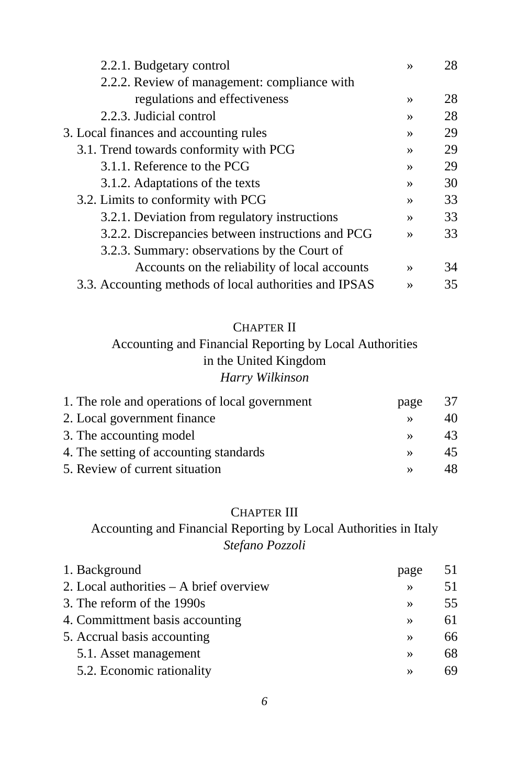| 2.2.1. Budgetary control                               | $\rightarrow$ | 28 |
|--------------------------------------------------------|---------------|----|
| 2.2.2. Review of management: compliance with           |               |    |
| regulations and effectiveness                          | $\rightarrow$ | 28 |
| 2.2.3. Judicial control                                | $\rightarrow$ | 28 |
| 3. Local finances and accounting rules                 | $\rightarrow$ | 29 |
| 3.1. Trend towards conformity with PCG                 | $\rightarrow$ | 29 |
| 3.1.1. Reference to the PCG                            | $\rightarrow$ | 29 |
| 3.1.2. Adaptations of the texts                        | $\rightarrow$ | 30 |
| 3.2. Limits to conformity with PCG                     | $\rightarrow$ | 33 |
| 3.2.1. Deviation from regulatory instructions          | $\rightarrow$ | 33 |
| 3.2.2. Discrepancies between instructions and PCG      | $\rightarrow$ | 33 |
| 3.2.3. Summary: observations by the Court of           |               |    |
| Accounts on the reliability of local accounts          | $\rightarrow$ | 34 |
| 3.3. Accounting methods of local authorities and IPSAS | $\rightarrow$ | 35 |

#### CHAPTER II

#### Accounting and Financial Reporting by Local Authorities in the United Kingdom *Harry Wilkinson*

| 1. The role and operations of local government | page          | 37 |
|------------------------------------------------|---------------|----|
| 2. Local government finance                    |               | 40 |
| 3. The accounting model                        | $\rightarrow$ | 43 |
| 4. The setting of accounting standards         | $\rightarrow$ | 45 |
| 5. Review of current situation                 |               | 48 |

#### CHAPTER III

### Accounting and Financial Reporting by Local Authorities in Italy *Stefano Pozzoli*

| page          | 51 |
|---------------|----|
| $\rightarrow$ | 51 |
| $\rightarrow$ | 55 |
| $\rightarrow$ | 61 |
| $\rightarrow$ | 66 |
| $\rightarrow$ | 68 |
| $\rightarrow$ | 69 |
|               |    |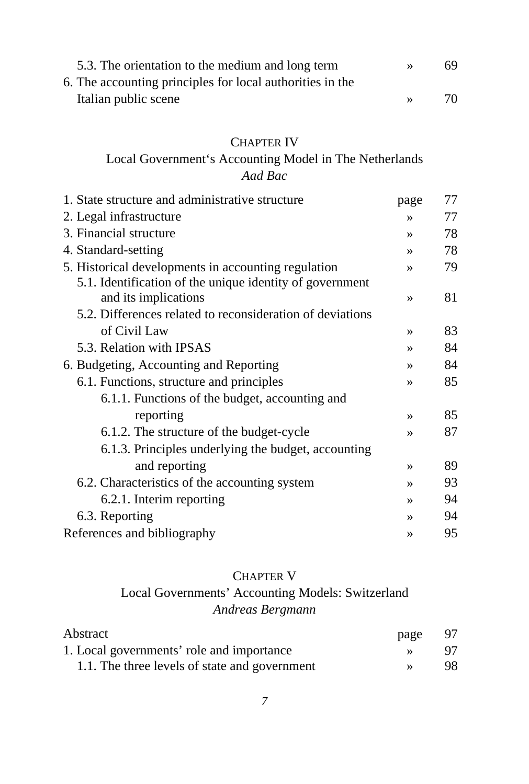| 5.3. The orientation to the medium and long term          | 69. |
|-----------------------------------------------------------|-----|
| 6. The accounting principles for local authorities in the |     |
| Italian public scene                                      | 70  |

#### CHAPTER IV

#### Local Government's Accounting Model in The Netherlands *Aad Bac*

| 1. State structure and administrative structure           | page          | 77 |
|-----------------------------------------------------------|---------------|----|
| 2. Legal infrastructure                                   | $\rightarrow$ | 77 |
| 3. Financial structure                                    | $\rightarrow$ | 78 |
| 4. Standard-setting                                       | $\rightarrow$ | 78 |
| 5. Historical developments in accounting regulation       | $\rightarrow$ | 79 |
| 5.1. Identification of the unique identity of government  |               |    |
| and its implications                                      | $\rightarrow$ | 81 |
| 5.2. Differences related to reconsideration of deviations |               |    |
| of Civil Law                                              | $\rightarrow$ | 83 |
| 5.3. Relation with IPSAS                                  | $\rightarrow$ | 84 |
| 6. Budgeting, Accounting and Reporting                    | $\rightarrow$ | 84 |
| 6.1. Functions, structure and principles                  | $\rightarrow$ | 85 |
| 6.1.1. Functions of the budget, accounting and            |               |    |
| reporting                                                 | $\rightarrow$ | 85 |
| 6.1.2. The structure of the budget-cycle                  | $\rightarrow$ | 87 |
| 6.1.3. Principles underlying the budget, accounting       |               |    |
| and reporting                                             | $\rightarrow$ | 89 |
| 6.2. Characteristics of the accounting system             | $\rightarrow$ | 93 |
| 6.2.1. Interim reporting                                  | $\rightarrow$ | 94 |
| 6.3. Reporting                                            | $\rightarrow$ | 94 |
| References and bibliography                               | $\rightarrow$ | 95 |

#### CHAPTER V

#### Local Governments' Accounting Models: Switzerland *Andreas Bergmann*

| Abstract                                      | page | - 97 |
|-----------------------------------------------|------|------|
| 1. Local governments' role and importance     |      | 97   |
| 1.1. The three levels of state and government |      | 98   |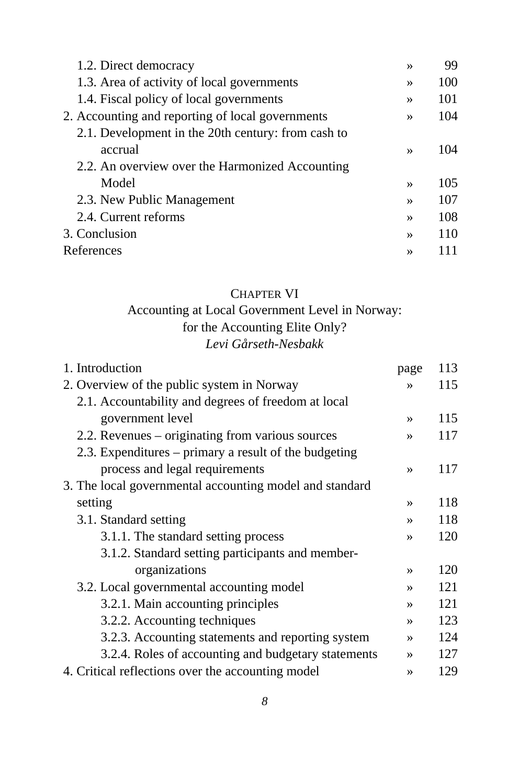| 1.2. Direct democracy                              | $\rightarrow$ | 99  |
|----------------------------------------------------|---------------|-----|
| 1.3. Area of activity of local governments         | $\rightarrow$ | 100 |
| 1.4. Fiscal policy of local governments            | $\rightarrow$ | 101 |
| 2. Accounting and reporting of local governments   | $\rightarrow$ | 104 |
| 2.1. Development in the 20th century: from cash to |               |     |
| accrual                                            | $\rightarrow$ | 104 |
| 2.2. An overview over the Harmonized Accounting    |               |     |
| Model                                              | $\rightarrow$ | 105 |
| 2.3. New Public Management                         | $\rightarrow$ | 107 |
| 2.4. Current reforms                               | $\rightarrow$ | 108 |
| 3. Conclusion                                      | $\rightarrow$ | 110 |
| References                                         | $\rightarrow$ |     |

#### CHAPTER VI

## Accounting at Local Government Level in Norway: for the Accounting Elite Only?

#### *Levi Gårseth-Nesbakk*

| 1. Introduction                                         | page          | 113 |
|---------------------------------------------------------|---------------|-----|
| 2. Overview of the public system in Norway              | $\rightarrow$ | 115 |
| 2.1. Accountability and degrees of freedom at local     |               |     |
| government level                                        | $\rightarrow$ | 115 |
| 2.2. Revenues – originating from various sources        | $\rightarrow$ | 117 |
| 2.3. Expenditures – primary a result of the budgeting   |               |     |
| process and legal requirements                          | $\rightarrow$ | 117 |
| 3. The local governmental accounting model and standard |               |     |
| setting                                                 | $\rightarrow$ | 118 |
| 3.1. Standard setting                                   | $\rightarrow$ | 118 |
| 3.1.1. The standard setting process                     | $\rightarrow$ | 120 |
| 3.1.2. Standard setting participants and member-        |               |     |
| organizations                                           | $\rightarrow$ | 120 |
| 3.2. Local governmental accounting model                | $\rightarrow$ | 121 |
| 3.2.1. Main accounting principles                       | $\rightarrow$ | 121 |
| 3.2.2. Accounting techniques                            | $\rightarrow$ | 123 |
| 3.2.3. Accounting statements and reporting system       | $\rightarrow$ | 124 |
| 3.2.4. Roles of accounting and budgetary statements     | $\rightarrow$ | 127 |
| 4. Critical reflections over the accounting model       | $\rightarrow$ | 129 |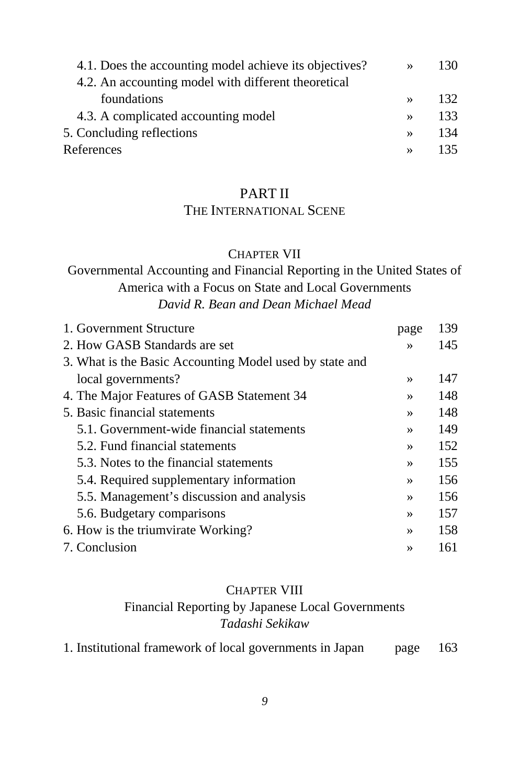| 4.1. Does the accounting model achieve its objectives? | $\rightarrow$ | 130  |
|--------------------------------------------------------|---------------|------|
| 4.2. An accounting model with different theoretical    |               |      |
| foundations                                            | $\rightarrow$ | 132  |
| 4.3. A complicated accounting model                    | $\rightarrow$ | 133  |
| 5. Concluding reflections                              | $\rightarrow$ | 134  |
| References                                             | $\rightarrow$ | 135. |

#### PART II

#### THE INTERNATIONAL SCENE

#### CHAPTER VII

#### Governmental Accounting and Financial Reporting in the United States of America with a Focus on State and Local Governments *David R. Bean and Dean Michael Mead*

| 1. Government Structure                                 | page          | 139 |
|---------------------------------------------------------|---------------|-----|
| 2. How GASB Standards are set                           | $\rightarrow$ | 145 |
| 3. What is the Basic Accounting Model used by state and |               |     |
| local governments?                                      | $\rightarrow$ | 147 |
| 4. The Major Features of GASB Statement 34              | $\rightarrow$ | 148 |
| 5. Basic financial statements                           | $\rightarrow$ | 148 |
| 5.1. Government-wide financial statements               | $\rightarrow$ | 149 |
| 5.2. Fund financial statements                          | $\rightarrow$ | 152 |
| 5.3. Notes to the financial statements                  | $\rightarrow$ | 155 |
| 5.4. Required supplementary information                 | $\rightarrow$ | 156 |
| 5.5. Management's discussion and analysis               | $\rightarrow$ | 156 |
| 5.6. Budgetary comparisons                              | $\rightarrow$ | 157 |
| 6. How is the triumvirate Working?                      | $\rightarrow$ | 158 |
| 7. Conclusion                                           | $\rightarrow$ | 161 |
|                                                         |               |     |

#### CHAPTER VIII Financial Reporting by Japanese Local Governments *Tadashi Sekikaw*

|  |  |  |  | 1. Institutional framework of local governments in Japan |  | page | 163 |
|--|--|--|--|----------------------------------------------------------|--|------|-----|
|--|--|--|--|----------------------------------------------------------|--|------|-----|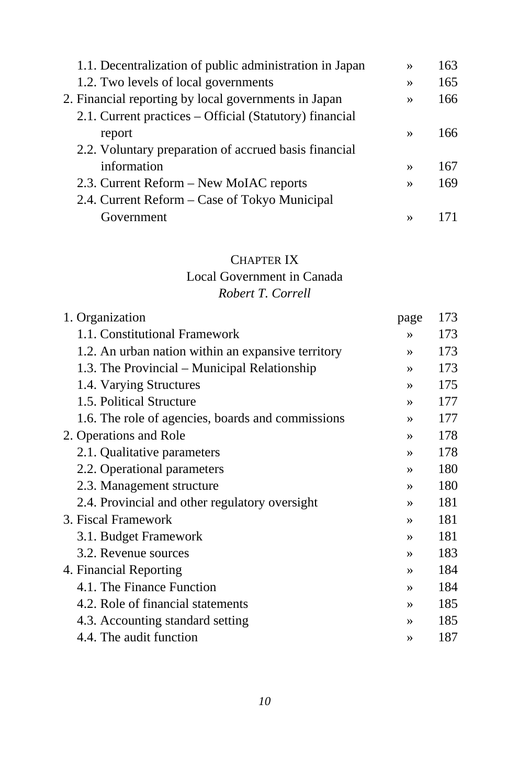| 1.1. Decentralization of public administration in Japan | $\rightarrow$ | 163 |
|---------------------------------------------------------|---------------|-----|
| 1.2. Two levels of local governments                    | $\rightarrow$ | 165 |
| 2. Financial reporting by local governments in Japan    | $\rightarrow$ | 166 |
| 2.1. Current practices – Official (Statutory) financial |               |     |
| report                                                  | $\rightarrow$ | 166 |
| 2.2. Voluntary preparation of accrued basis financial   |               |     |
| information                                             | $\rightarrow$ | 167 |
| 2.3. Current Reform – New MoIAC reports                 | $\rightarrow$ | 169 |
| 2.4. Current Reform - Case of Tokyo Municipal           |               |     |
| Government                                              | $\rightarrow$ |     |

#### CHAPTER IX

# Local Government in Canada

#### *Robert T. Correll*

| 1. Organization                                    | page          | 173 |
|----------------------------------------------------|---------------|-----|
| 1.1. Constitutional Framework                      | $\rightarrow$ | 173 |
| 1.2. An urban nation within an expansive territory | $\rightarrow$ | 173 |
| 1.3. The Provincial – Municipal Relationship       | $\rightarrow$ | 173 |
| 1.4. Varying Structures                            | $\rightarrow$ | 175 |
| 1.5. Political Structure                           | $\rightarrow$ | 177 |
| 1.6. The role of agencies, boards and commissions  | $\rightarrow$ | 177 |
| 2. Operations and Role                             | $\rightarrow$ | 178 |
| 2.1. Qualitative parameters                        | $\rightarrow$ | 178 |
| 2.2. Operational parameters                        | $\rightarrow$ | 180 |
| 2.3. Management structure                          | $\rightarrow$ | 180 |
| 2.4. Provincial and other regulatory oversight     | $\rightarrow$ | 181 |
| 3. Fiscal Framework                                | $\rightarrow$ | 181 |
| 3.1. Budget Framework                              | $\rightarrow$ | 181 |
| 3.2. Revenue sources                               | $\rightarrow$ | 183 |
| 4. Financial Reporting                             | $\rightarrow$ | 184 |
| 4.1. The Finance Function                          | $\rightarrow$ | 184 |
| 4.2. Role of financial statements                  | $\rightarrow$ | 185 |
| 4.3. Accounting standard setting                   | $\rightarrow$ | 185 |
| 4.4. The audit function                            | $\rightarrow$ | 187 |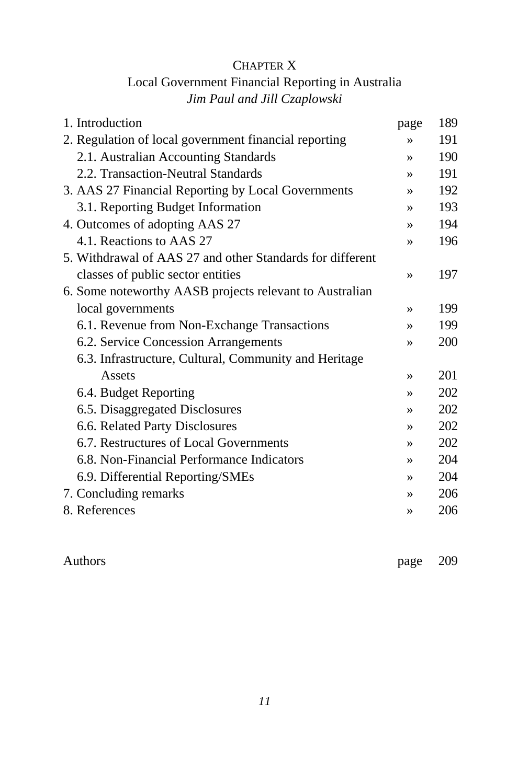#### CHAPTER X

### Local Government Financial Reporting in Australia *Jim Paul and Jill Czaplowski*

| 1. Introduction                                           | page          | 189 |
|-----------------------------------------------------------|---------------|-----|
| 2. Regulation of local government financial reporting     | $\rightarrow$ | 191 |
| 2.1. Australian Accounting Standards                      | $\rightarrow$ | 190 |
| 2.2. Transaction-Neutral Standards                        | $\rightarrow$ | 191 |
| 3. AAS 27 Financial Reporting by Local Governments        | $\rightarrow$ | 192 |
| 3.1. Reporting Budget Information                         | $\rightarrow$ | 193 |
| 4. Outcomes of adopting AAS 27                            | $\rightarrow$ | 194 |
| 4.1. Reactions to AAS 27                                  | $\rightarrow$ | 196 |
| 5. Withdrawal of AAS 27 and other Standards for different |               |     |
| classes of public sector entities                         | $\rightarrow$ | 197 |
| 6. Some noteworthy AASB projects relevant to Australian   |               |     |
| local governments                                         | $\rightarrow$ | 199 |
| 6.1. Revenue from Non-Exchange Transactions               | $\rightarrow$ | 199 |
| 6.2. Service Concession Arrangements                      | $\rightarrow$ | 200 |
| 6.3. Infrastructure, Cultural, Community and Heritage     |               |     |
| Assets                                                    | $\rightarrow$ | 201 |
| 6.4. Budget Reporting                                     | $\rightarrow$ | 202 |
| 6.5. Disaggregated Disclosures                            | $\rightarrow$ | 202 |
| 6.6. Related Party Disclosures                            | $\rightarrow$ | 202 |
| 6.7. Restructures of Local Governments                    | $\rightarrow$ | 202 |
| 6.8. Non-Financial Performance Indicators                 | $\rightarrow$ | 204 |
| 6.9. Differential Reporting/SMEs                          | $\rightarrow$ | 204 |
| 7. Concluding remarks                                     | $\rightarrow$ | 206 |
| 8. References                                             | »             | 206 |
|                                                           |               |     |

Authors page 209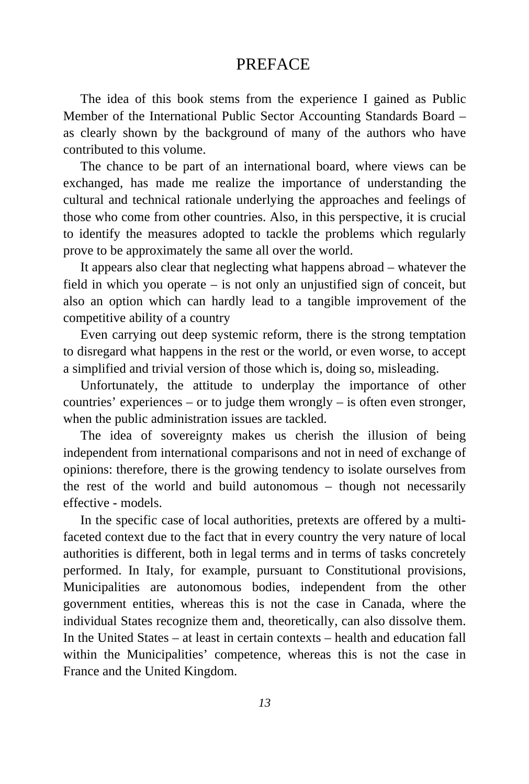#### **PREFACE**

The idea of this book stems from the experience I gained as Public Member of the International Public Sector Accounting Standards Board – as clearly shown by the background of many of the authors who have contributed to this volume.

The chance to be part of an international board, where views can be exchanged, has made me realize the importance of understanding the cultural and technical rationale underlying the approaches and feelings of those who come from other countries. Also, in this perspective, it is crucial to identify the measures adopted to tackle the problems which regularly prove to be approximately the same all over the world.

It appears also clear that neglecting what happens abroad – whatever the field in which you operate – is not only an unjustified sign of conceit, but also an option which can hardly lead to a tangible improvement of the competitive ability of a country

Even carrying out deep systemic reform, there is the strong temptation to disregard what happens in the rest or the world, or even worse, to accept a simplified and trivial version of those which is, doing so, misleading.

Unfortunately, the attitude to underplay the importance of other countries' experiences – or to judge them wrongly – is often even stronger, when the public administration issues are tackled.

The idea of sovereignty makes us cherish the illusion of being independent from international comparisons and not in need of exchange of opinions: therefore, there is the growing tendency to isolate ourselves from the rest of the world and build autonomous – though not necessarily effective - models.

In the specific case of local authorities, pretexts are offered by a multifaceted context due to the fact that in every country the very nature of local authorities is different, both in legal terms and in terms of tasks concretely performed. In Italy, for example, pursuant to Constitutional provisions, Municipalities are autonomous bodies, independent from the other government entities, whereas this is not the case in Canada, where the individual States recognize them and, theoretically, can also dissolve them. In the United States – at least in certain contexts – health and education fall within the Municipalities' competence, whereas this is not the case in France and the United Kingdom.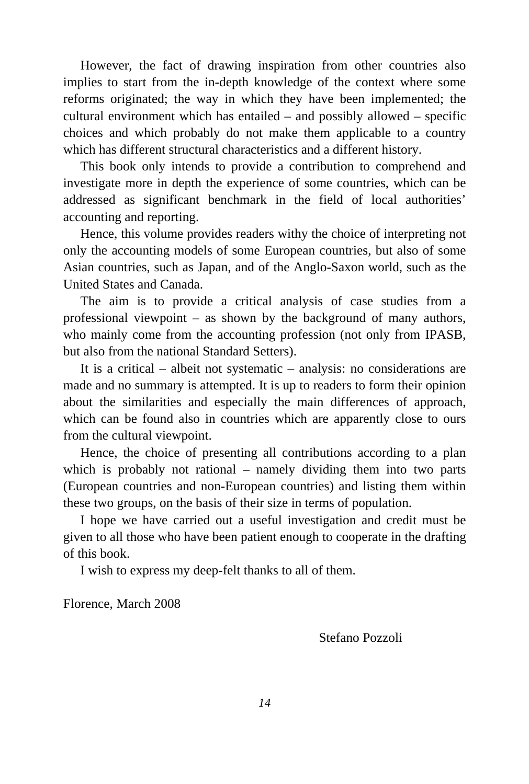However, the fact of drawing inspiration from other countries also implies to start from the in-depth knowledge of the context where some reforms originated; the way in which they have been implemented; the cultural environment which has entailed – and possibly allowed – specific choices and which probably do not make them applicable to a country which has different structural characteristics and a different history.

This book only intends to provide a contribution to comprehend and investigate more in depth the experience of some countries, which can be addressed as significant benchmark in the field of local authorities' accounting and reporting.

Hence, this volume provides readers withy the choice of interpreting not only the accounting models of some European countries, but also of some Asian countries, such as Japan, and of the Anglo-Saxon world, such as the United States and Canada.

The aim is to provide a critical analysis of case studies from a professional viewpoint – as shown by the background of many authors, who mainly come from the accounting profession (not only from IPASB, but also from the national Standard Setters).

It is a critical – albeit not systematic – analysis: no considerations are made and no summary is attempted. It is up to readers to form their opinion about the similarities and especially the main differences of approach, which can be found also in countries which are apparently close to ours from the cultural viewpoint.

Hence, the choice of presenting all contributions according to a plan which is probably not rational – namely dividing them into two parts (European countries and non-European countries) and listing them within these two groups, on the basis of their size in terms of population.

I hope we have carried out a useful investigation and credit must be given to all those who have been patient enough to cooperate in the drafting of this book.

I wish to express my deep-felt thanks to all of them.

Florence, March 2008

Stefano Pozzoli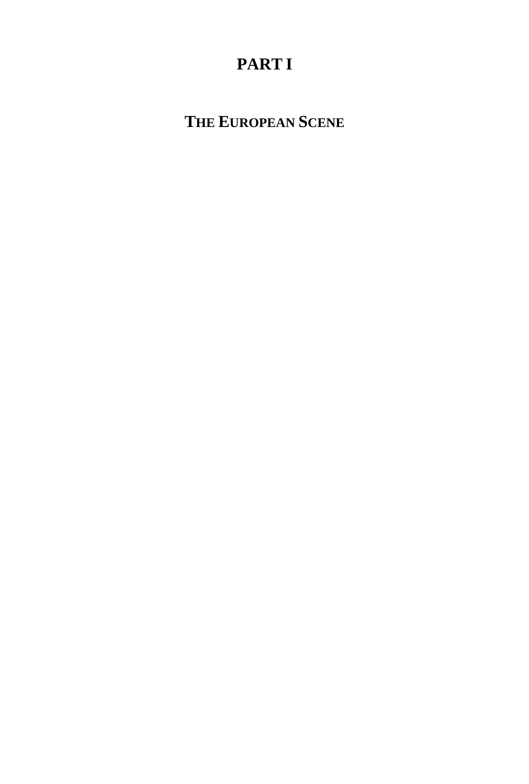# **PART I**

**THE EUROPEAN SCENE**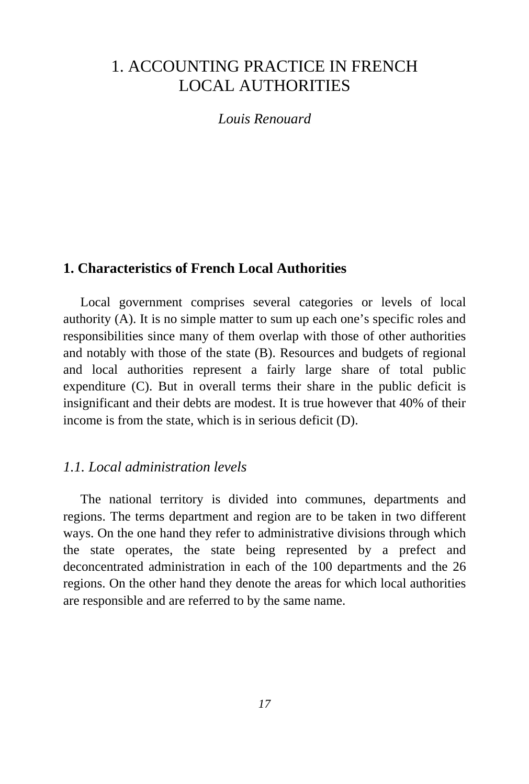## 1. ACCOUNTING PRACTICE IN FRENCH LOCAL AUTHORITIES

*Louis Renouard* 

#### **1. Characteristics of French Local Authorities**

Local government comprises several categories or levels of local authority (A). It is no simple matter to sum up each one's specific roles and responsibilities since many of them overlap with those of other authorities and notably with those of the state (B). Resources and budgets of regional and local authorities represent a fairly large share of total public expenditure (C). But in overall terms their share in the public deficit is insignificant and their debts are modest. It is true however that 40% of their income is from the state, which is in serious deficit (D).

#### *1.1. Local administration levels*

The national territory is divided into communes, departments and regions. The terms department and region are to be taken in two different ways. On the one hand they refer to administrative divisions through which the state operates, the state being represented by a prefect and deconcentrated administration in each of the 100 departments and the 26 regions. On the other hand they denote the areas for which local authorities are responsible and are referred to by the same name.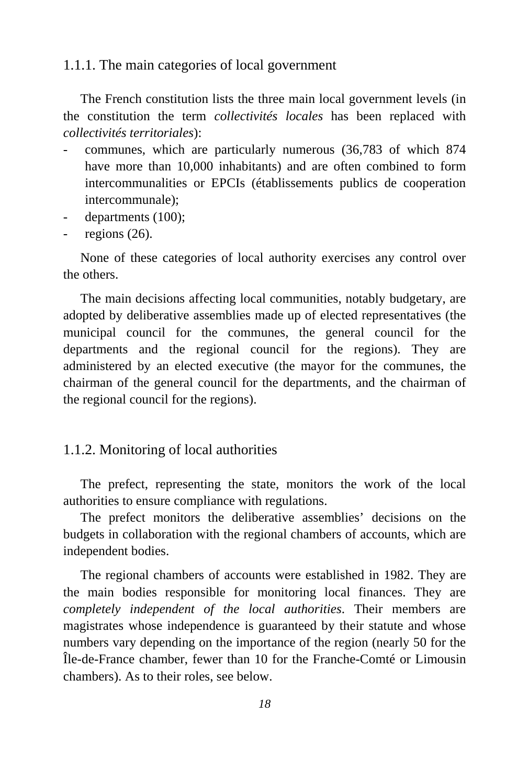#### 1.1.1. The main categories of local government

The French constitution lists the three main local government levels (in the constitution the term *collectivités locales* has been replaced with *collectivités territoriales*):

- communes, which are particularly numerous (36,783 of which 874 have more than 10,000 inhabitants) and are often combined to form intercommunalities or EPCIs (établissements publics de cooperation intercommunale);
- departments (100);
- regions (26).

None of these categories of local authority exercises any control over the others.

The main decisions affecting local communities, notably budgetary, are adopted by deliberative assemblies made up of elected representatives (the municipal council for the communes, the general council for the departments and the regional council for the regions). They are administered by an elected executive (the mayor for the communes, the chairman of the general council for the departments, and the chairman of the regional council for the regions).

#### 1.1.2. Monitoring of local authorities

The prefect, representing the state, monitors the work of the local authorities to ensure compliance with regulations.

The prefect monitors the deliberative assemblies' decisions on the budgets in collaboration with the regional chambers of accounts, which are independent bodies.

The regional chambers of accounts were established in 1982. They are the main bodies responsible for monitoring local finances. They are *completely independent of the local authorities*. Their members are magistrates whose independence is guaranteed by their statute and whose numbers vary depending on the importance of the region (nearly 50 for the Île-de-France chamber, fewer than 10 for the Franche-Comté or Limousin chambers). As to their roles, see below.